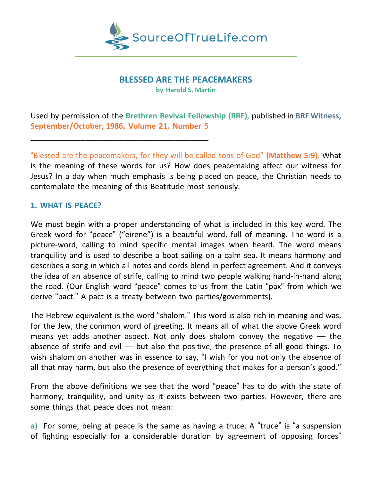

## **BLESSED ARE THE PEACEMAKERS**

**by Harold S. Martin**

Used by permission of the **Brethren Revival Fellowship (BRF)**, published in **BRF Witness, September/October, 1986, Volume 21, Number 5**

"Blessed are the peacemakers, for they will be called sons of God" **(Matthew 5:9).** What is the meaning of these words for us? How does peacemaking affect our witness for Jesus? In a day when much emphasis is being placed on peace, the Christian needs to contemplate the meaning of this Beatitude most seriously.

## **1. WHAT IS PEACE?**

\_\_\_\_\_\_\_\_\_\_\_\_\_\_\_\_\_\_\_\_\_\_\_\_\_\_\_\_\_\_\_\_\_\_\_\_\_\_\_\_\_\_

We must begin with a proper understanding of what is included in this key word. The Greek word for "peace" ("eirene") is a beautiful word, full of meaning. The word is a picture-word, calling to mind specific mental images when heard. The word means tranquility and is used to describe a boat sailing on a calm sea. It means harmony and describes a song in which all notes and cords blend in perfect agreement. And it conveys the idea of an absence of strife, calling to mind two people walking hand-in-hand along the road. (Our English word "peace" comes to us from the Latin "pax" from which we derive "pact." A pact is a treaty between two parties/governments).

The Hebrew equivalent is the word "shalom." This word is also rich in meaning and was, for the Jew, the common word of greeting. It means all of what the above Greek word means yet adds another aspect. Not only does shalom convey the negative — the absence of strife and evil — but also the positive, the presence of all good things. To wish shalom on another was in essence to say, "I wish for you not only the absence of all that may harm, but also the presence of everything that makes for a person's good."

From the above definitions we see that the word "peace" has to do with the state of harmony, tranquility, and unity as it exists between two parties. However, there are some things that peace does not mean:

**a)** For some, being at peace is the same as having a truce. A "truce" is "a suspension of fighting especially for a considerable duration by agreement of opposing forces"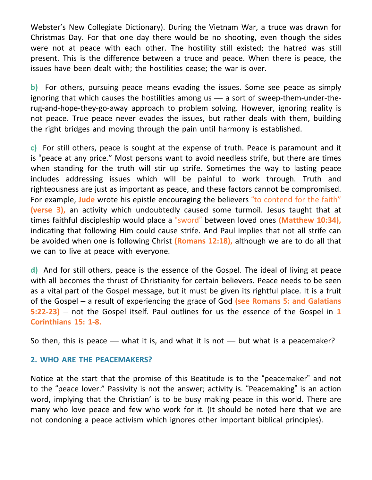Webster's New Collegiate Dictionary). During the Vietnam War, a truce was drawn for Christmas Day. For that one day there would be no shooting, even though the sides were not at peace with each other. The hostility still existed; the hatred was still present. This is the difference between a truce and peace. When there is peace, the issues have been dealt with; the hostilities cease; the war is over.

**b)** For others, pursuing peace means evading the issues. Some see peace as simply ignoring that which causes the hostilities among us — a sort of sweep-them-under-therug-and-hope-they-go-away approach to problem solving. However, ignoring reality is not peace. True peace never evades the issues, but rather deals with them, building the right bridges and moving through the pain until harmony is established.

**c)** For still others, peace is sought at the expense of truth. Peace is paramount and it is "peace at any price." Most persons want to avoid needless strife, but there are times when standing for the truth will stir up strife. Sometimes the way to lasting peace includes addressing issues which will be painful to work through. Truth and righteousness are just as important as peace, and these factors cannot be compromised. For example, **Jude** wrote his epistle encouraging the believers "to contend for the faith" **(verse 3),** an activity which undoubtedly caused some turmoil. Jesus taught that at times faithful discipleship would place a "sword" between loved ones **(Matthew 10:34),** indicating that following Him could cause strife. And Paul implies that not all strife can be avoided when one is following Christ **(Romans 12:18),** although we are to do all that we can to live at peace with everyone.

**d)** And for still others, peace is the essence of the Gospel. The ideal of living at peace with all becomes the thrust of Christianity for certain believers. Peace needs to be seen as a vital part of the Gospel message, but it must be given its rightful place. It is a fruit of the Gospel – a result of experiencing the grace of God **(see Romans 5: and Galatians 5:22-23)** – not the Gospel itself. Paul outlines for us the essence of the Gospel in **1 Corinthians 15: 1-8.**

So then, this is peace  $-$  what it is, and what it is not  $-$  but what is a peacemaker?

## **2. WHO ARE THE PEACEMAKERS?**

Notice at the start that the promise of this Beatitude is to the "peacemaker" and not to the "peace lover." Passivity is not the answer; activity is. "Peacemaking" is an action word, implying that the Christian' is to be busy making peace in this world. There are many who love peace and few who work for it. (It should be noted here that we are not condoning a peace activism which ignores other important biblical principles).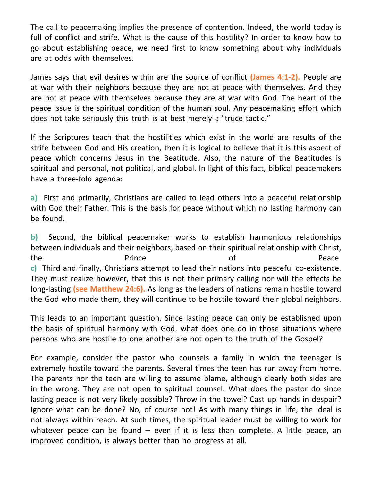The call to peacemaking implies the presence of contention. Indeed, the world today is full of conflict and strife. What is the cause of this hostility? In order to know how to go about establishing peace, we need first to know something about why individuals are at odds with themselves.

James says that evil desires within are the source of conflict **(James 4:1-2).** People are at war with their neighbors because they are not at peace with themselves. And they are not at peace with themselves because they are at war with God. The heart of the peace issue is the spiritual condition of the human soul. Any peacemaking effort which does not take seriously this truth is at best merely a "truce tactic."

If the Scriptures teach that the hostilities which exist in the world are results of the strife between God and His creation, then it is logical to believe that it is this aspect of peace which concerns Jesus in the Beatitude. Also, the nature of the Beatitudes is spiritual and personal, not political, and global. In light of this fact, biblical peacemakers have a three-fold agenda:

**a)** First and primarily, Christians are called to lead others into a peaceful relationship with God their Father. This is the basis for peace without which no lasting harmony can be found.

**b)** Second, the biblical peacemaker works to establish harmonious relationships between individuals and their neighbors, based on their spiritual relationship with Christ, the **Prince Prince Constant Prince Constant Peace. c)** Third and finally, Christians attempt to lead their nations into peaceful co-existence. They must realize however, that this is not their primary calling nor will the effects be long-lasting **(see Matthew 24:6).** As long as the leaders of nations remain hostile toward the God who made them, they will continue to be hostile toward their global neighbors.

This leads to an important question. Since lasting peace can only be established upon the basis of spiritual harmony with God, what does one do in those situations where persons who are hostile to one another are not open to the truth of the Gospel?

For example, consider the pastor who counsels a family in which the teenager is extremely hostile toward the parents. Several times the teen has run away from home. The parents nor the teen are willing to assume blame, although clearly both sides are in the wrong. They are not open to spiritual counsel. What does the pastor do since lasting peace is not very likely possible? Throw in the towel? Cast up hands in despair? Ignore what can be done? No, of course not! As with many things in life, the ideal is not always within reach. At such times, the spiritual leader must be willing to work for whatever peace can be found  $-$  even if it is less than complete. A little peace, an improved condition, is always better than no progress at all.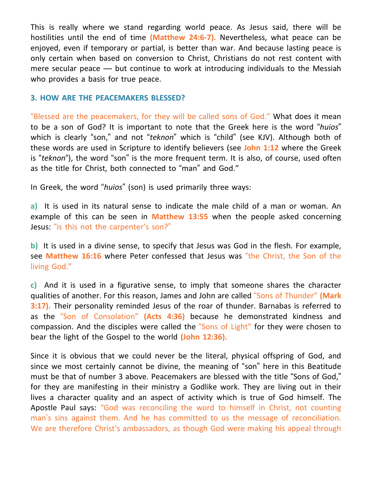This is really where we stand regarding world peace. As Jesus said, there will be hostilities until the end of time **(Matthew 24:6-7).** Nevertheless, what peace can be enjoyed, even if temporary or partial, is better than war. And because lasting peace is only certain when based on conversion to Christ, Christians do not rest content with mere secular peace — but continue to work at introducing individuals to the Messiah who provides a basis for true peace.

## **3. HOW ARE THE PEACEMAKERS BLESSED?**

"Blessed are the peacemakers, for they will be called sons of God." What does it mean to be a son of God? It is important to note that the Greek here is the word "*huios*" which is clearly "son," and not "*teknon*" which is "child" (see KJV). Although both of these words are used in Scripture to identify believers (see **John 1:12** where the Greek is "*teknon*"), the word "son" is the more frequent term. It is also, of course, used often as the title for Christ, both connected to "man" and God."

In Greek, the word "*huios*" (son) is used primarily three ways:

**a)** It is used in its natural sense to indicate the male child of a man or woman. An example of this can be seen in **Matthew 13:55** when the people asked concerning Jesus: "is this not the carpenter's son?"

**b)** It is used in a divine sense, to specify that Jesus was God in the flesh. For example, see **Matthew 16:16** where Peter confessed that Jesus was "the Christ, the Son of the living God."

**c)** And it is used in a figurative sense, to imply that someone shares the character qualities of another. For this reason, James and John are called "Sons of Thunder" **(Mark 3:17).** Their personality reminded Jesus of the roar of thunder. Barnabas is referred to as the "Son of Consolation" **(Acts 4:36)** because he demonstrated kindness and compassion. And the disciples were called the "Sons of Light" for they were chosen to bear the light of the Gospel to the world **(John 12:36).**

Since it is obvious that we could never be the literal, physical offspring of God, and since we most certainly cannot be divine, the meaning of "son" here in this Beatitude must be that of number 3 above. Peacemakers are blessed with the title "Sons of God," for they are manifesting in their ministry a Godlike work. They are living out in their lives a character quality and an aspect of activity which is true of God himself. The Apostle Paul says: "God was reconciling the word to himself in Christ, not counting man's sins against them. And he has committed to us the message of reconciliation. We are therefore Christ's ambassadors, as though God were making his appeal through